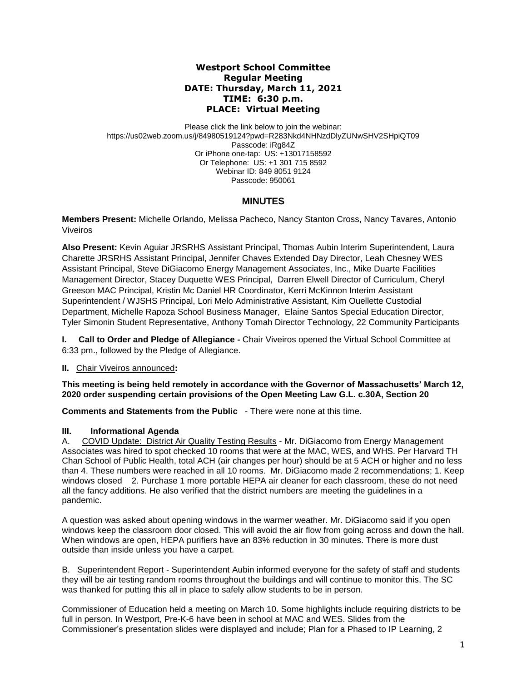## **Westport School Committee Regular Meeting DATE: Thursday, March 11, 2021 TIME: 6:30 p.m. PLACE: Virtual Meeting**

Please click the link below to join the webinar: https://us02web.zoom.us/j/84980519124?pwd=R283Nkd4NHNzdDlyZUNwSHV2SHpiQT09 Passcode: iRg84Z Or iPhone one-tap: US: +13017158592 Or Telephone: US: +1 301 715 8592 Webinar ID: 849 8051 9124 Passcode: 950061

# **MINUTES**

**Members Present:** Michelle Orlando, Melissa Pacheco, Nancy Stanton Cross, Nancy Tavares, Antonio Viveiros

**Also Present:** Kevin Aguiar JRSRHS Assistant Principal, Thomas Aubin Interim Superintendent, Laura Charette JRSRHS Assistant Principal, Jennifer Chaves Extended Day Director, Leah Chesney WES Assistant Principal, Steve DiGiacomo Energy Management Associates, Inc., Mike Duarte Facilities Management Director, Stacey Duquette WES Principal, Darren Elwell Director of Curriculum, Cheryl Greeson MAC Principal, Kristin Mc Daniel HR Coordinator, Kerri McKinnon Interim Assistant Superintendent / WJSHS Principal, Lori Melo Administrative Assistant, Kim Ouellette Custodial Department, Michelle Rapoza School Business Manager, Elaine Santos Special Education Director, Tyler Simonin Student Representative, Anthony Tomah Director Technology, 22 Community Participants

**I.** Call to Order and Pledge of Allegiance - Chair Viveiros opened the Virtual School Committee at 6:33 pm., followed by the Pledge of Allegiance.

**II.** Chair Viveiros announced**:** 

**This meeting is being held remotely in accordance with the Governor of Massachusetts' March 12, 2020 order suspending certain provisions of the Open Meeting Law G.L. c.30A, Section 20**

**Comments and Statements from the Public** - There were none at this time.

# **III. Informational Agenda**

A. COVID Update: District Air Quality Testing Results - Mr. DiGiacomo from Energy Management Associates was hired to spot checked 10 rooms that were at the MAC, WES, and WHS. Per Harvard TH Chan School of Public Health, total ACH (air changes per hour) should be at 5 ACH or higher and no less than 4. These numbers were reached in all 10 rooms. Mr. DiGiacomo made 2 recommendations; 1. Keep windows closed 2. Purchase 1 more portable HEPA air cleaner for each classroom, these do not need all the fancy additions. He also verified that the district numbers are meeting the guidelines in a pandemic.

A question was asked about opening windows in the warmer weather. Mr. DiGiacomo said if you open windows keep the classroom door closed. This will avoid the air flow from going across and down the hall. When windows are open, HEPA purifiers have an 83% reduction in 30 minutes. There is more dust outside than inside unless you have a carpet.

B. Superintendent Report - Superintendent Aubin informed everyone for the safety of staff and students they will be air testing random rooms throughout the buildings and will continue to monitor this. The SC was thanked for putting this all in place to safely allow students to be in person.

Commissioner of Education held a meeting on March 10. Some highlights include requiring districts to be full in person. In Westport, Pre-K-6 have been in school at MAC and WES. Slides from the Commissioner's presentation slides were displayed and include; Plan for a Phased to IP Learning, 2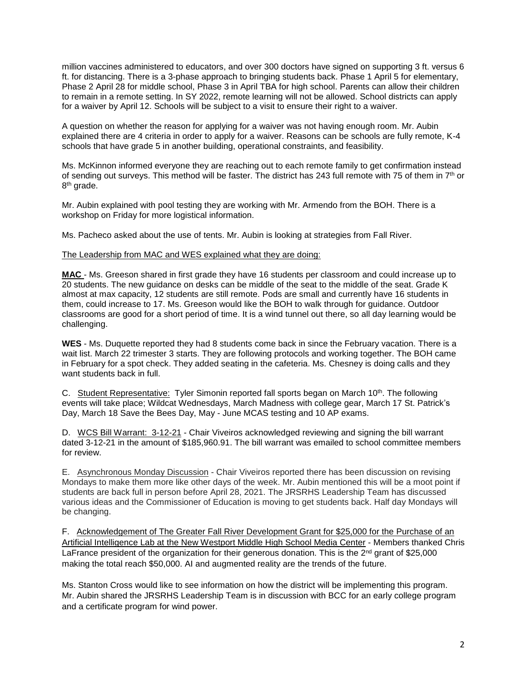million vaccines administered to educators, and over 300 doctors have signed on supporting 3 ft. versus 6 ft. for distancing. There is a 3-phase approach to bringing students back. Phase 1 April 5 for elementary, Phase 2 April 28 for middle school, Phase 3 in April TBA for high school. Parents can allow their children to remain in a remote setting. In SY 2022, remote learning will not be allowed. School districts can apply for a waiver by April 12. Schools will be subject to a visit to ensure their right to a waiver.

A question on whether the reason for applying for a waiver was not having enough room. Mr. Aubin explained there are 4 criteria in order to apply for a waiver. Reasons can be schools are fully remote, K-4 schools that have grade 5 in another building, operational constraints, and feasibility.

Ms. McKinnon informed everyone they are reaching out to each remote family to get confirmation instead of sending out surveys. This method will be faster. The district has 243 full remote with 75 of them in 7th or 8<sup>th</sup> grade.

Mr. Aubin explained with pool testing they are working with Mr. Armendo from the BOH. There is a workshop on Friday for more logistical information.

Ms. Pacheco asked about the use of tents. Mr. Aubin is looking at strategies from Fall River.

### The Leadership from MAC and WES explained what they are doing:

**MAC** - Ms. Greeson shared in first grade they have 16 students per classroom and could increase up to 20 students. The new guidance on desks can be middle of the seat to the middle of the seat. Grade K almost at max capacity, 12 students are still remote. Pods are small and currently have 16 students in them, could increase to 17. Ms. Greeson would like the BOH to walk through for guidance. Outdoor classrooms are good for a short period of time. It is a wind tunnel out there, so all day learning would be challenging.

**WES** - Ms. Duquette reported they had 8 students come back in since the February vacation. There is a wait list. March 22 trimester 3 starts. They are following protocols and working together. The BOH came in February for a spot check. They added seating in the cafeteria. Ms. Chesney is doing calls and they want students back in full.

C. Student Representative: Tyler Simonin reported fall sports began on March 10th. The following events will take place; Wildcat Wednesdays, March Madness with college gear, March 17 St. Patrick's Day, March 18 Save the Bees Day, May - June MCAS testing and 10 AP exams.

D. WCS Bill Warrant: 3-12-21 - Chair Viveiros acknowledged reviewing and signing the bill warrant dated 3-12-21 in the amount of \$185,960.91. The bill warrant was emailed to school committee members for review.

E. Asynchronous Monday Discussion - Chair Viveiros reported there has been discussion on revising Mondays to make them more like other days of the week. Mr. Aubin mentioned this will be a moot point if students are back full in person before April 28, 2021. The JRSRHS Leadership Team has discussed various ideas and the Commissioner of Education is moving to get students back. Half day Mondays will be changing.

F. Acknowledgement of The Greater Fall River Development Grant for \$25,000 for the Purchase of an Artificial Intelligence Lab at the New Westport Middle High School Media Center - Members thanked Chris LaFrance president of the organization for their generous donation. This is the 2<sup>nd</sup> grant of \$25,000 making the total reach \$50,000. AI and augmented reality are the trends of the future.

Ms. Stanton Cross would like to see information on how the district will be implementing this program. Mr. Aubin shared the JRSRHS Leadership Team is in discussion with BCC for an early college program and a certificate program for wind power.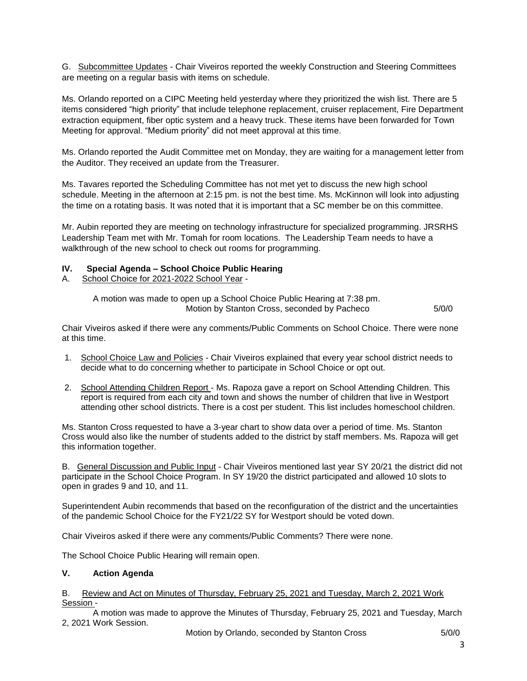G. Subcommittee Updates - Chair Viveiros reported the weekly Construction and Steering Committees are meeting on a regular basis with items on schedule.

Ms. Orlando reported on a CIPC Meeting held yesterday where they prioritized the wish list. There are 5 items considered "high priority" that include telephone replacement, cruiser replacement, Fire Department extraction equipment, fiber optic system and a heavy truck. These items have been forwarded for Town Meeting for approval. "Medium priority" did not meet approval at this time.

Ms. Orlando reported the Audit Committee met on Monday, they are waiting for a management letter from the Auditor. They received an update from the Treasurer.

Ms. Tavares reported the Scheduling Committee has not met yet to discuss the new high school schedule. Meeting in the afternoon at 2:15 pm. is not the best time. Ms. McKinnon will look into adjusting the time on a rotating basis. It was noted that it is important that a SC member be on this committee.

Mr. Aubin reported they are meeting on technology infrastructure for specialized programming. JRSRHS Leadership Team met with Mr. Tomah for room locations. The Leadership Team needs to have a walkthrough of the new school to check out rooms for programming.

### **IV. Special Agenda – School Choice Public Hearing**

A. School Choice for 2021-2022 School Year -

A motion was made to open up a School Choice Public Hearing at 7:38 pm. Motion by Stanton Cross, seconded by Pacheco 5/0/0

Chair Viveiros asked if there were any comments/Public Comments on School Choice. There were none at this time.

- 1. School Choice Law and Policies Chair Viveiros explained that every year school district needs to decide what to do concerning whether to participate in School Choice or opt out.
- 2. School Attending Children Report Ms. Rapoza gave a report on School Attending Children. This report is required from each city and town and shows the number of children that live in Westport attending other school districts. There is a cost per student. This list includes homeschool children.

Ms. Stanton Cross requested to have a 3-year chart to show data over a period of time. Ms. Stanton Cross would also like the number of students added to the district by staff members. Ms. Rapoza will get this information together.

B. General Discussion and Public Input - Chair Viveiros mentioned last year SY 20/21 the district did not participate in the School Choice Program. In SY 19/20 the district participated and allowed 10 slots to open in grades 9 and 10, and 11.

Superintendent Aubin recommends that based on the reconfiguration of the district and the uncertainties of the pandemic School Choice for the FY21/22 SY for Westport should be voted down.

Chair Viveiros asked if there were any comments/Public Comments? There were none.

The School Choice Public Hearing will remain open.

#### **V. Action Agenda**

#### B. Review and Act on Minutes of Thursday, February 25, 2021 and Tuesday, March 2, 2021 Work Session -

A motion was made to approve the Minutes of Thursday, February 25, 2021 and Tuesday, March 2, 2021 Work Session.

Motion by Orlando, seconded by Stanton Cross 5/0/0